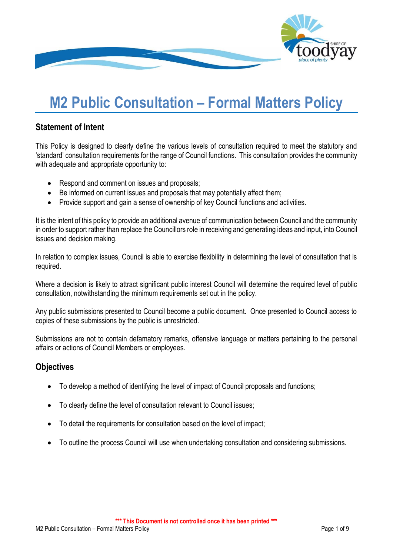

# **M2 Public Consultation – Formal Matters Policy**

# **Statement of Intent**

This Policy is designed to clearly define the various levels of consultation required to meet the statutory and 'standard' consultation requirements for the range of Council functions. This consultation provides the community with adequate and appropriate opportunity to:

- Respond and comment on issues and proposals;
- Be informed on current issues and proposals that may potentially affect them;
- Provide support and gain a sense of ownership of key Council functions and activities.

It is the intent of this policy to provide an additional avenue of communication between Council and the community in order to support rather than replace the Councillors role in receiving and generating ideas and input, into Council issues and decision making.

In relation to complex issues. Council is able to exercise flexibility in determining the level of consultation that is required.

Where a decision is likely to attract significant public interest Council will determine the required level of public consultation, notwithstanding the minimum requirements set out in the policy.

Any public submissions presented to Council become a public document. Once presented to Council access to copies of these submissions by the public is unrestricted.

Submissions are not to contain defamatory remarks, offensive language or matters pertaining to the personal affairs or actions of Council Members or employees.

# **Objectives**

- To develop a method of identifying the level of impact of Council proposals and functions;
- To clearly define the level of consultation relevant to Council issues;
- To detail the requirements for consultation based on the level of impact;
- To outline the process Council will use when undertaking consultation and considering submissions.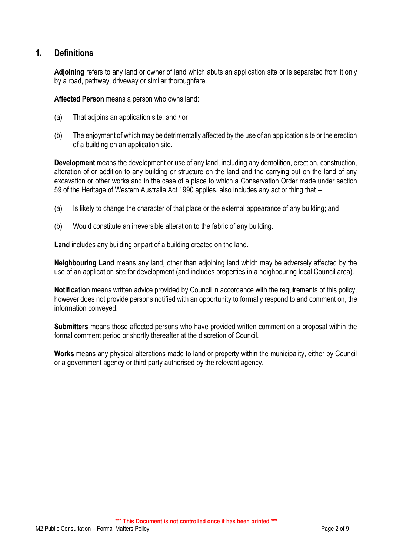# **1. Definitions**

**Adjoining** refers to any land or owner of land which abuts an application site or is separated from it only by a road, pathway, driveway or similar thoroughfare.

**Affected Person** means a person who owns land:

- (a) That adjoins an application site; and / or
- (b) The enjoyment of which may be detrimentally affected by the use of an application site or the erection of a building on an application site.

**Development** means the development or use of any land, including any demolition, erection, construction, alteration of or addition to any building or structure on the land and the carrying out on the land of any excavation or other works and in the case of a place to which a Conservation Order made under section 59 of the Heritage of Western Australia Act 1990 applies, also includes any act or thing that –

- (a) Is likely to change the character of that place or the external appearance of any building; and
- (b) Would constitute an irreversible alteration to the fabric of any building.

**Land** includes any building or part of a building created on the land.

**Neighbouring Land** means any land, other than adjoining land which may be adversely affected by the use of an application site for development (and includes properties in a neighbouring local Council area).

**Notification** means written advice provided by Council in accordance with the requirements of this policy, however does not provide persons notified with an opportunity to formally respond to and comment on, the information conveyed.

**Submitters** means those affected persons who have provided written comment on a proposal within the formal comment period or shortly thereafter at the discretion of Council.

**Works** means any physical alterations made to land or property within the municipality, either by Council or a government agency or third party authorised by the relevant agency.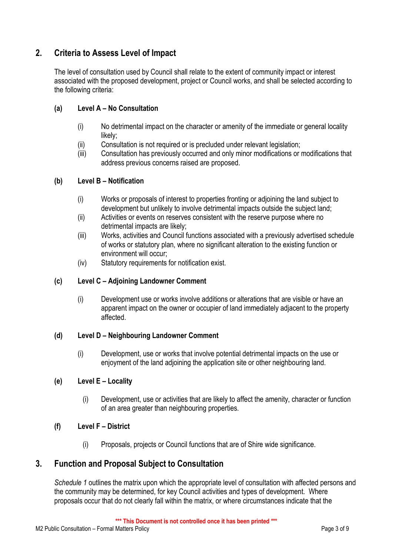# **2. Criteria to Assess Level of Impact**

The level of consultation used by Council shall relate to the extent of community impact or interest associated with the proposed development, project or Council works, and shall be selected according to the following criteria:

#### **(a) Level A – No Consultation**

- (i) No detrimental impact on the character or amenity of the immediate or general locality likely;
- (ii) Consultation is not required or is precluded under relevant legislation;
- (iii) Consultation has previously occurred and only minor modifications or modifications that address previous concerns raised are proposed.

#### **(b) Level B – Notification**

- (i) Works or proposals of interest to properties fronting or adjoining the land subject to development but unlikely to involve detrimental impacts outside the subject land;
- (ii) Activities or events on reserves consistent with the reserve purpose where no detrimental impacts are likely;
- (iii) Works, activities and Council functions associated with a previously advertised schedule of works or statutory plan, where no significant alteration to the existing function or environment will occur;
- (iv) Statutory requirements for notification exist.

#### **(c) Level C – Adjoining Landowner Comment**

(i) Development use or works involve additions or alterations that are visible or have an apparent impact on the owner or occupier of land immediately adjacent to the property affected.

#### **(d) Level D – Neighbouring Landowner Comment**

(i) Development, use or works that involve potential detrimental impacts on the use or enjoyment of the land adjoining the application site or other neighbouring land.

#### **(e) Level E – Locality**

(i) Development, use or activities that are likely to affect the amenity, character or function of an area greater than neighbouring properties.

#### **(f) Level F – District**

(i) Proposals, projects or Council functions that are of Shire wide significance.

## **3. Function and Proposal Subject to Consultation**

*Schedule 1* outlines the matrix upon which the appropriate level of consultation with affected persons and the community may be determined, for key Council activities and types of development. Where proposals occur that do not clearly fall within the matrix, or where circumstances indicate that the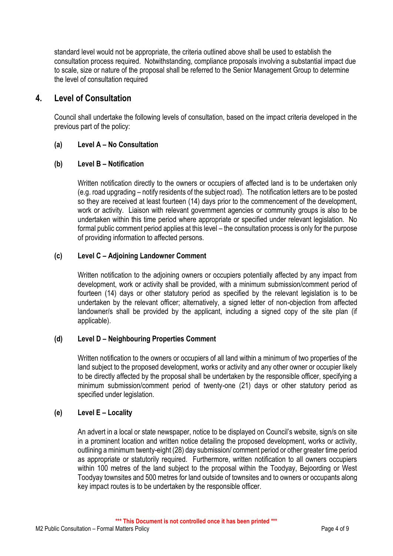standard level would not be appropriate, the criteria outlined above shall be used to establish the consultation process required. Notwithstanding, compliance proposals involving a substantial impact due to scale, size or nature of the proposal shall be referred to the Senior Management Group to determine the level of consultation required

# **4. Level of Consultation**

Council shall undertake the following levels of consultation, based on the impact criteria developed in the previous part of the policy:

#### **(a) Level A – No Consultation**

#### **(b) Level B – Notification**

Written notification directly to the owners or occupiers of affected land is to be undertaken only (e.g. road upgrading – notify residents of the subject road). The notification letters are to be posted so they are received at least fourteen (14) days prior to the commencement of the development, work or activity. Liaison with relevant government agencies or community groups is also to be undertaken within this time period where appropriate or specified under relevant legislation. No formal public comment period applies at this level – the consultation process is only for the purpose of providing information to affected persons.

#### **(c) Level C – Adjoining Landowner Comment**

Written notification to the adjoining owners or occupiers potentially affected by any impact from development, work or activity shall be provided, with a minimum submission/comment period of fourteen (14) days or other statutory period as specified by the relevant legislation is to be undertaken by the relevant officer; alternatively, a signed letter of non-objection from affected landowner/s shall be provided by the applicant, including a signed copy of the site plan (if applicable).

#### **(d) Level D – Neighbouring Properties Comment**

Written notification to the owners or occupiers of all land within a minimum of two properties of the land subject to the proposed development, works or activity and any other owner or occupier likely to be directly affected by the proposal shall be undertaken by the responsible officer, specifying a minimum submission/comment period of twenty-one (21) days or other statutory period as specified under legislation.

#### **(e) Level E – Locality**

An advert in a local or state newspaper, notice to be displayed on Council's website, sign/s on site in a prominent location and written notice detailing the proposed development, works or activity, outlining a minimum twenty-eight (28) day submission/ comment period or other greater time period as appropriate or statutorily required. Furthermore, written notification to all owners occupiers within 100 metres of the land subject to the proposal within the Toodyay, Bejoording or West Toodyay townsites and 500 metres for land outside of townsites and to owners or occupants along key impact routes is to be undertaken by the responsible officer.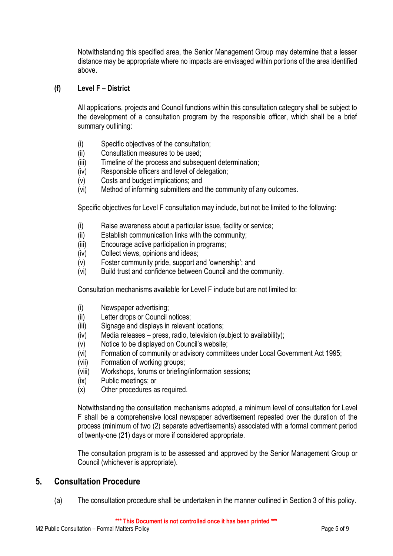Notwithstanding this specified area, the Senior Management Group may determine that a lesser distance may be appropriate where no impacts are envisaged within portions of the area identified above.

#### **(f) Level F – District**

All applications, projects and Council functions within this consultation category shall be subject to the development of a consultation program by the responsible officer, which shall be a brief summary outlining:

- (i) Specific objectives of the consultation;
- (ii) Consultation measures to be used;
- (iii) Timeline of the process and subsequent determination;
- (iv) Responsible officers and level of delegation;
- (v) Costs and budget implications; and
- (vi) Method of informing submitters and the community of any outcomes.

Specific objectives for Level F consultation may include, but not be limited to the following:

- (i) Raise awareness about a particular issue, facility or service;
- (ii) Establish communication links with the community;
- (iii) Encourage active participation in programs;
- (iv) Collect views, opinions and ideas;
- (v) Foster community pride, support and 'ownership'; and
- (vi) Build trust and confidence between Council and the community.

Consultation mechanisms available for Level F include but are not limited to:

- (i) Newspaper advertising;
- (ii) Letter drops or Council notices;
- (iii) Signage and displays in relevant locations;
- (iv) Media releases press, radio, television (subject to availability);
- (v) Notice to be displayed on Council's website;
- (vi) Formation of community or advisory committees under Local Government Act 1995;
- (vii) Formation of working groups;
- (viii) Workshops, forums or briefing/information sessions;
- (ix) Public meetings; or
- (x) Other procedures as required.

Notwithstanding the consultation mechanisms adopted, a minimum level of consultation for Level F shall be a comprehensive local newspaper advertisement repeated over the duration of the process (minimum of two (2) separate advertisements) associated with a formal comment period of twenty-one (21) days or more if considered appropriate.

The consultation program is to be assessed and approved by the Senior Management Group or Council (whichever is appropriate).

## **5. Consultation Procedure**

(a) The consultation procedure shall be undertaken in the manner outlined in Section 3 of this policy.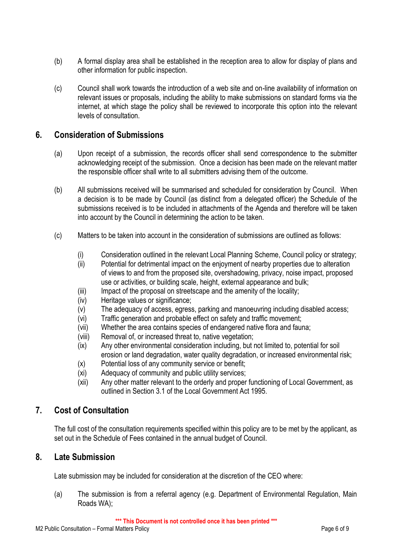- (b) A formal display area shall be established in the reception area to allow for display of plans and other information for public inspection.
- (c) Council shall work towards the introduction of a web site and on-line availability of information on relevant issues or proposals, including the ability to make submissions on standard forms via the internet, at which stage the policy shall be reviewed to incorporate this option into the relevant levels of consultation.

# **6. Consideration of Submissions**

- (a) Upon receipt of a submission, the records officer shall send correspondence to the submitter acknowledging receipt of the submission. Once a decision has been made on the relevant matter the responsible officer shall write to all submitters advising them of the outcome.
- (b) All submissions received will be summarised and scheduled for consideration by Council. When a decision is to be made by Council (as distinct from a delegated officer) the Schedule of the submissions received is to be included in attachments of the Agenda and therefore will be taken into account by the Council in determining the action to be taken.
- (c) Matters to be taken into account in the consideration of submissions are outlined as follows:
	- (i) Consideration outlined in the relevant Local Planning Scheme, Council policy or strategy;
	- (ii) Potential for detrimental impact on the enjoyment of nearby properties due to alteration of views to and from the proposed site, overshadowing, privacy, noise impact, proposed use or activities, or building scale, height, external appearance and bulk;
	- (iii) Impact of the proposal on streetscape and the amenity of the locality;
	- (iv) Heritage values or significance;
	- (v) The adequacy of access, egress, parking and manoeuvring including disabled access;
	- (vi) Traffic generation and probable effect on safety and traffic movement;
	- (vii) Whether the area contains species of endangered native flora and fauna;
	- (viii) Removal of, or increased threat to, native vegetation;
	- (ix) Any other environmental consideration including, but not limited to, potential for soil erosion or land degradation, water quality degradation, or increased environmental risk;
	- (x) Potential loss of any community service or benefit;
	- (xi) Adequacy of community and public utility services;
	- (xii) Any other matter relevant to the orderly and proper functioning of Local Government, as outlined in Section 3.1 of the Local Government Act 1995.

## **7. Cost of Consultation**

The full cost of the consultation requirements specified within this policy are to be met by the applicant, as set out in the Schedule of Fees contained in the annual budget of Council.

## **8. Late Submission**

Late submission may be included for consideration at the discretion of the CEO where:

(a) The submission is from a referral agency (e.g. Department of Environmental Regulation, Main Roads WA);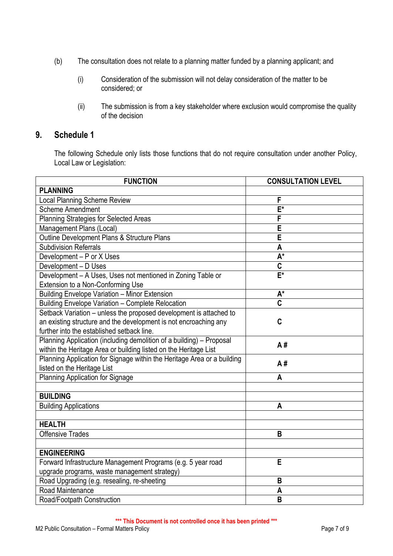- (b) The consultation does not relate to a planning matter funded by a planning applicant; and
	- (i) Consideration of the submission will not delay consideration of the matter to be considered; or
	- (ii) The submission is from a key stakeholder where exclusion would compromise the quality of the decision

# **9. Schedule 1**

The following Schedule only lists those functions that do not require consultation under another Policy, Local Law or Legislation:

| <b>FUNCTION</b>                                                         | <b>CONSULTATION LEVEL</b> |  |  |
|-------------------------------------------------------------------------|---------------------------|--|--|
| <b>PLANNING</b>                                                         |                           |  |  |
| <b>Local Planning Scheme Review</b>                                     | F                         |  |  |
| <b>Scheme Amendment</b>                                                 | $E^*$                     |  |  |
| Planning Strategies for Selected Areas                                  | F                         |  |  |
| Management Plans (Local)                                                | E                         |  |  |
| Outline Development Plans & Structure Plans                             | Ē                         |  |  |
| <b>Subdivision Referrals</b>                                            | A                         |  |  |
| Development - P or X Uses                                               | $\overline{A^*}$          |  |  |
| Development - D Uses                                                    | C                         |  |  |
| Development - A Uses, Uses not mentioned in Zoning Table or             | $\overline{F^*}$          |  |  |
| Extension to a Non-Conforming Use                                       |                           |  |  |
| Building Envelope Variation - Minor Extension                           | $A^*$                     |  |  |
| Building Envelope Variation - Complete Relocation                       | $\overline{\mathbf{c}}$   |  |  |
| Setback Variation - unless the proposed development is attached to      |                           |  |  |
| an existing structure and the development is not encroaching any<br>C   |                           |  |  |
| further into the established setback line.                              |                           |  |  |
| Planning Application (including demolition of a building) - Proposal    | A#                        |  |  |
| within the Heritage Area or building listed on the Heritage List        |                           |  |  |
| Planning Application for Signage within the Heritage Area or a building | A#                        |  |  |
| listed on the Heritage List                                             |                           |  |  |
| Planning Application for Signage                                        | A                         |  |  |
|                                                                         |                           |  |  |
| <b>BUILDING</b>                                                         |                           |  |  |
| <b>Building Applications</b>                                            | A                         |  |  |
|                                                                         |                           |  |  |
| <b>HEALTH</b>                                                           |                           |  |  |
| <b>Offensive Trades</b>                                                 | B                         |  |  |
|                                                                         |                           |  |  |
| <b>ENGINEERING</b>                                                      |                           |  |  |
| Forward Infrastructure Management Programs (e.g. 5 year road            | E                         |  |  |
| upgrade programs, waste management strategy)                            |                           |  |  |
| Road Upgrading (e.g. resealing, re-sheeting                             | B                         |  |  |
| Road Maintenance                                                        | A                         |  |  |
| Road/Footpath Construction                                              | B                         |  |  |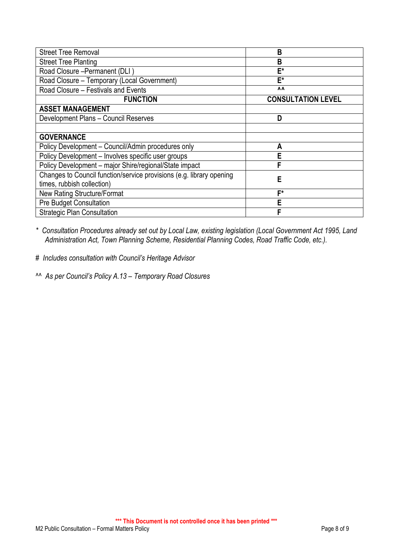| <b>Street Tree Removal</b>                                           | B                         |
|----------------------------------------------------------------------|---------------------------|
| <b>Street Tree Planting</b>                                          | B                         |
| Road Closure - Permanent (DLI)                                       | E*                        |
| Road Closure - Temporary (Local Government)                          | E*                        |
| Road Closure - Festivals and Events                                  | $\Lambda$                 |
| <b>FUNCTION</b>                                                      | <b>CONSULTATION LEVEL</b> |
| <b>ASSET MANAGEMENT</b>                                              |                           |
| Development Plans - Council Reserves                                 | D                         |
|                                                                      |                           |
| <b>GOVERNANCE</b>                                                    |                           |
| Policy Development - Council/Admin procedures only                   | A                         |
| Policy Development - Involves specific user groups                   | Е                         |
| Policy Development - major Shire/regional/State impact               | F                         |
| Changes to Council function/service provisions (e.g. library opening | Е                         |
| times, rubbish collection)                                           |                           |
| <b>New Rating Structure/Format</b>                                   | F*                        |
| Pre Budget Consultation                                              | Е                         |
| <b>Strategic Plan Consultation</b>                                   | F                         |

*\* Consultation Procedures already set out by Local Law, existing legislation (Local Government Act 1995, Land Administration Act, Town Planning Scheme, Residential Planning Codes, Road Traffic Code, etc.).*

*# Includes consultation with Council's Heritage Advisor*

*^^ As per Council's Policy A.13 – Temporary Road Closures*